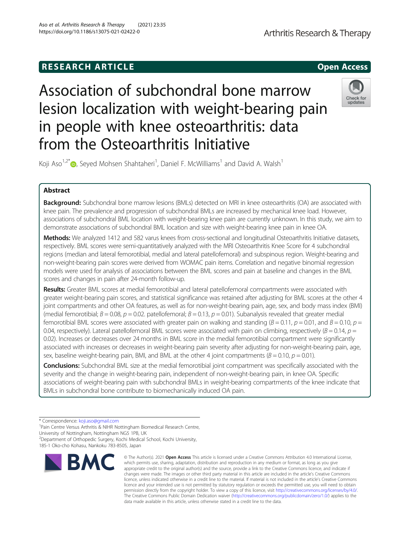# Association of subchondral bone marrow lesion localization with weight-bearing pain in people with knee osteoarthritis: data from the Osteoarthritis Initiative

Koji Aso<sup>1,2[\\*](http://orcid.org/0000-0003-3763-9564)</sup> $\bm{\odot}$ , Seyed Mohsen Shahtaheri<sup>1</sup>, Daniel F. McWilliams<sup>1</sup> and David A. Walsh<sup>1</sup>

# Abstract

Background: Subchondral bone marrow lesions (BMLs) detected on MRI in knee osteoarthritis (OA) are associated with knee pain. The prevalence and progression of subchondral BMLs are increased by mechanical knee load. However, associations of subchondral BML location with weight-bearing knee pain are currently unknown. In this study, we aim to demonstrate associations of subchondral BML location and size with weight-bearing knee pain in knee OA.

Methods: We analyzed 1412 and 582 varus knees from cross-sectional and longitudinal Osteoarthritis Initiative datasets, respectively. BML scores were semi-quantitatively analyzed with the MRI Osteoarthritis Knee Score for 4 subchondral regions (median and lateral femorotibial, medial and lateral patellofemoral) and subspinous region. Weight-bearing and non-weight-bearing pain scores were derived from WOMAC pain items. Correlation and negative binomial regression models were used for analysis of associations between the BML scores and pain at baseline and changes in the BML scores and changes in pain after 24-month follow-up.

Results: Greater BML scores at medial femorotibial and lateral patellofemoral compartments were associated with greater weight-bearing pain scores, and statistical significance was retained after adjusting for BML scores at the other 4 joint compartments and other OA features, as well as for non-weight-bearing pain, age, sex, and body mass index (BMI) (medial femorotibial;  $B = 0.08$ ,  $p = 0.02$ . patellofemoral;  $B = 0.13$ ,  $p = 0.01$ ). Subanalysis revealed that greater medial femorotibial BML scores were associated with greater pain on walking and standing ( $B = 0.11$ ,  $p = 0.01$ , and  $B = 0.10$ ,  $p =$ 0.04, respectively). Lateral patellofemoral BML scores were associated with pain on climbing, respectively ( $B = 0.14$ ,  $p =$ 0.02). Increases or decreases over 24 months in BML score in the medial femorotibial compartment were significantly associated with increases or decreases in weight-bearing pain severity after adjusting for non-weight-bearing pain, age, sex, baseline weight-bearing pain, BMI, and BML at the other 4 joint compartments ( $B = 0.10$ ,  $p = 0.01$ ).

**Conclusions:** Subchondral BML size at the medial femorotibial joint compartment was specifically associated with the severity and the change in weight-bearing pain, independent of non-weight-bearing pain, in knee OA. Specific associations of weight-bearing pain with subchondral BMLs in weight-bearing compartments of the knee indicate that BMLs in subchondral bone contribute to biomechanically induced OA pain.

**RM** 







<sup>\*</sup> Correspondence: [koji.aso@gmail.com](mailto:koji.aso@gmail.com) <sup>1</sup>

<sup>&</sup>lt;sup>1</sup> Pain Centre Versus Arthritis & NIHR Nottingham Biomedical Research Centre,

University of Nottingham, Nottingham NG5 1PB, UK

<sup>2</sup> Department of Orthopedic Surgery, Kochi Medical School, Kochi University,

<sup>185-1</sup> Oko-cho Kohasu, Nankoku 783-8505, Japan

Arthritis Research & Therapy

<sup>©</sup> The Author(s), 2021 **Open Access** This article is licensed under a Creative Commons Attribution 4.0 International License, which permits use, sharing, adaptation, distribution and reproduction in any medium or format, as long as you give appropriate credit to the original author(s) and the source, provide a link to the Creative Commons licence, and indicate if changes were made. The images or other third party material in this article are included in the article's Creative Commons licence, unless indicated otherwise in a credit line to the material. If material is not included in the article's Creative Commons licence and your intended use is not permitted by statutory regulation or exceeds the permitted use, you will need to obtain permission directly from the copyright holder. To view a copy of this licence, visit [http://creativecommons.org/licenses/by/4.0/.](http://creativecommons.org/licenses/by/4.0/) The Creative Commons Public Domain Dedication waiver [\(http://creativecommons.org/publicdomain/zero/1.0/](http://creativecommons.org/publicdomain/zero/1.0/)) applies to the data made available in this article, unless otherwise stated in a credit line to the data.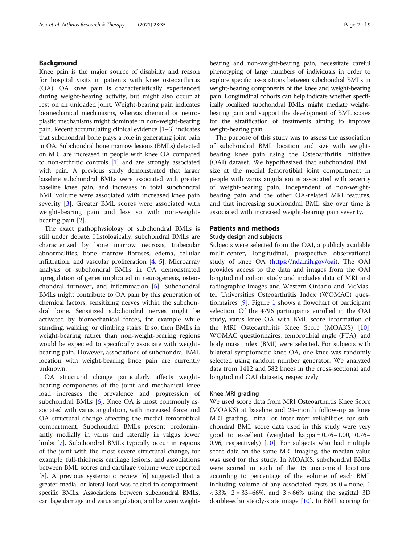# Background

Knee pain is the major source of disability and reason for hospital visits in patients with knee osteoarthritis (OA). OA knee pain is characteristically experienced during weight-bearing activity, but might also occur at rest on an unloaded joint. Weight-bearing pain indicates biomechanical mechanisms, whereas chemical or neuroplastic mechanisms might dominate in non-weight-bearing pain. Recent accumulating clinical evidence  $[1-3]$  $[1-3]$  $[1-3]$  $[1-3]$  indicates that subchondral bone plays a role in generating joint pain in OA. Subchondral bone marrow lesions (BMLs) detected on MRI are increased in people with knee OA compared to non-arthritic controls [\[1\]](#page-7-0) and are strongly associated with pain. A previous study demonstrated that larger baseline subchondral BMLs were associated with greater baseline knee pain, and increases in total subchondral BML volume were associated with increased knee pain severity [[3\]](#page-7-0). Greater BML scores were associated with weight-bearing pain and less so with non-weightbearing pain [[2\]](#page-7-0).

The exact pathophysiology of subchondral BMLs is still under debate. Histologically, subchondral BMLs are characterized by bone marrow necrosis, trabecular abnormalities, bone marrow fibroses, edema, cellular infiltration, and vascular proliferation [\[4,](#page-7-0) [5\]](#page-7-0). Microarray analysis of subchondral BMLs in OA demonstrated upregulation of genes implicated in neurogenesis, osteochondral turnover, and inflammation [[5\]](#page-7-0). Subchondral BMLs might contribute to OA pain by this generation of chemical factors, sensitizing nerves within the subchondral bone. Sensitized subchondral nerves might be activated by biomechanical forces, for example while standing, walking, or climbing stairs. If so, then BMLs in weight-bearing rather than non-weight-bearing regions would be expected to specifically associate with weightbearing pain. However, associations of subchondral BML location with weight-bearing knee pain are currently unknown.

OA structural change particularly affects weightbearing components of the joint and mechanical knee load increases the prevalence and progression of subchondral BMLs  $[6]$  $[6]$ . Knee OA is most commonly associated with varus angulation, with increased force and OA structural change affecting the medial femorotibial compartment. Subchondral BMLs present predominantly medially in varus and laterally in valgus lower limbs [\[7\]](#page-7-0). Subchondral BMLs typically occur in regions of the joint with the most severe structural change, for example, full-thickness cartilage lesions, and associations between BML scores and cartilage volume were reported [[8\]](#page-7-0). A previous systematic review [[6\]](#page-7-0) suggested that a greater medial or lateral load was related to compartmentspecific BMLs. Associations between subchondral BMLs, cartilage damage and varus angulation, and between weightbearing and non-weight-bearing pain, necessitate careful phenotyping of large numbers of individuals in order to explore specific associations between subchondral BMLs in weight-bearing components of the knee and weight-bearing pain. Longitudinal cohorts can help indicate whether specifically localized subchondral BMLs might mediate weightbearing pain and support the development of BML scores for the stratification of treatments aiming to improve weight-bearing pain.

The purpose of this study was to assess the association of subchondral BML location and size with weightbearing knee pain using the Osteoarthritis Initiative (OAI) dataset. We hypothesized that subchondral BML size at the medial femorotibial joint compartment in people with varus angulation is associated with severity of weight-bearing pain, independent of non-weightbearing pain and the other OA-related MRI features, and that increasing subchondral BML size over time is associated with increased weight-bearing pain severity.

# Patients and methods

# Study design and subjects

Subjects were selected from the OAI, a publicly available multi-center, longitudinal, prospective observational study of knee OA ([https://nda.nih.gov/oai](https://nda.nih.gov/oai/)). The OAI provides access to the data and images from the OAI longitudinal cohort study and includes data of MRI and radiographic images and Western Ontario and McMaster Universities Osteoarthritis Index (WOMAC) questionnaires [\[9\]](#page-7-0). Figure [1](#page-2-0) shows a flowchart of participant selection. Of the 4796 participants enrolled in the OAI study, varus knee OA with BML score information of the MRI Osteoarthritis Knee Score (MOAKS) [\[10](#page-7-0)], WOMAC questionnaires, femorotibial angle (FTA), and body mass index (BMI) were selected. For subjects with bilateral symptomatic knee OA, one knee was randomly selected using random number generator. We analyzed data from 1412 and 582 knees in the cross-sectional and longitudinal OAI datasets, respectively.

# Knee MRI grading

We used score data from MRI Osteoarthritis Knee Score (MOAKS) at baseline and 24-month follow-up as knee MRI grading. Intra- or inter-rater reliabilities for subchondral BML score data used in this study were very good to excellent (weighted kappa = 0.76–1.00, 0.76– 0.96, respectively) [\[10\]](#page-7-0). For subjects who had multiple score data on the same MRI imaging, the median value was used for this study. In MOAKS, subchondral BMLs were scored in each of the 15 anatomical locations according to percentage of the volume of each BML including volume of any associated cysts as  $0 =$  none, 1 < 33%, 2 = 33–66%, and 3 > 66% using the sagittal 3D double-echo steady-state image [\[10\]](#page-7-0). In BML scoring for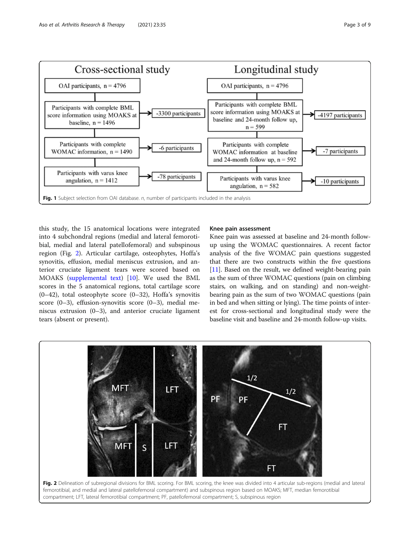<span id="page-2-0"></span>

this study, the 15 anatomical locations were integrated into 4 subchondral regions (medial and lateral femorotibial, medial and lateral patellofemoral) and subspinous region (Fig. 2). Articular cartilage, osteophytes, Hoffa's synovitis, effusion, medial meniscus extrusion, and anterior cruciate ligament tears were scored based on MOAKS [\(supplemental text\)](#page-7-0) [[10](#page-7-0)]. We used the BML scores in the 5 anatomical regions, total cartilage score (0–42), total osteophyte score (0–32), Hoffa's synovitis score (0–3), effusion-synovitis score (0–3), medial meniscus extrusion (0–3), and anterior cruciate ligament tears (absent or present).

# Knee pain assessment

Knee pain was assessed at baseline and 24-month followup using the WOMAC questionnaires. A recent factor analysis of the five WOMAC pain questions suggested that there are two constructs within the five questions [[11](#page-7-0)]. Based on the result, we defined weight-bearing pain as the sum of three WOMAC questions (pain on climbing stairs, on walking, and on standing) and non-weightbearing pain as the sum of two WOMAC questions (pain in bed and when sitting or lying). The time points of interest for cross-sectional and longitudinal study were the baseline visit and baseline and 24-month follow-up visits.

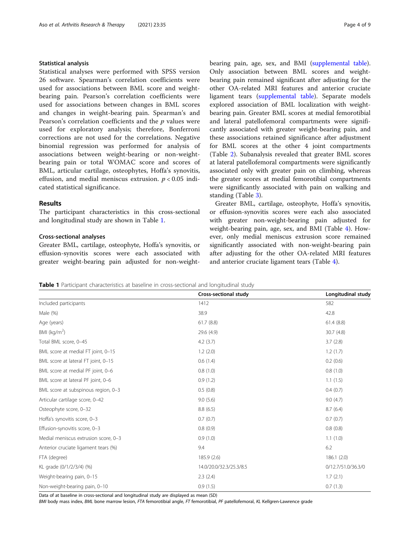# Statistical analysis

Statistical analyses were performed with SPSS version 26 software. Spearman's correlation coefficients were used for associations between BML score and weightbearing pain. Pearson's correlation coefficients were used for associations between changes in BML scores and changes in weight-bearing pain. Spearman's and Pearson's correlation coefficients and the  $p$  values were used for exploratory analysis; therefore, Bonferroni corrections are not used for the correlations. Negative binomial regression was performed for analysis of associations between weight-bearing or non-weightbearing pain or total WOMAC score and scores of BML, articular cartilage, osteophytes, Hoffa's synovitis, effusion, and medial meniscus extrusion.  $p < 0.05$  indicated statistical significance.

# Results

The participant characteristics in this cross-sectional and longitudinal study are shown in Table 1.

# Cross-sectional analyses

Greater BML, cartilage, osteophyte, Hoffa's synovitis, or effusion-synovitis scores were each associated with greater weight-bearing pain adjusted for non-weightbearing pain, age, sex, and BMI ([supplemental table](#page-7-0)). Only association between BML scores and weightbearing pain remained significant after adjusting for the other OA-related MRI features and anterior cruciate ligament tears ([supplemental table](#page-7-0)). Separate models explored association of BML localization with weightbearing pain. Greater BML scores at medial femorotibial and lateral patellofemoral compartments were significantly associated with greater weight-bearing pain, and these associations retained significance after adjustment for BML scores at the other 4 joint compartments (Table [2\)](#page-4-0). Subanalysis revealed that greater BML scores at lateral patellofemoral compartments were significantly associated only with greater pain on climbing, whereas the greater scores at medial femorotibial compartments were significantly associated with pain on walking and

Greater BML, cartilage, osteophyte, Hoffa's synovitis, or effusion-synovitis scores were each also associated with greater non-weight-bearing pain adjusted for weight-bearing pain, age, sex, and BMI (Table [4](#page-5-0)). However, only medial meniscus extrusion score remained significantly associated with non-weight-bearing pain after adjusting for the other OA-related MRI features and anterior cruciate ligament tears (Table [4](#page-5-0)).

standing (Table [3](#page-4-0)).

Table 1 Participant characteristics at baseline in cross-sectional and longitudinal study

|                                      | Cross-sectional study   | Longitudinal study |
|--------------------------------------|-------------------------|--------------------|
| Included participants                | 1412                    | 582                |
| Male (%)                             | 38.9                    | 42.8               |
| Age (years)                          | 61.7(8.8)               | 61.4(8.8)          |
| BMI ( $\text{kg/m}^2$ )              | 29.6 (4.9)              | 30.7 (4.8)         |
| Total BML score, 0-45                | 4.2(3.7)                | 3.7(2.8)           |
| BML score at medial FT joint, 0-15   | 1.2(2.0)                | 1.2(1.7)           |
| BML score at lateral FT joint, 0-15  | 0.6(1.4)                | 0.2(0.6)           |
| BML score at medial PF joint, 0-6    | 0.8(1.0)                | 0.8(1.0)           |
| BML score at lateral PF joint, 0-6   | 0.9(1.2)                | 1.1(1.5)           |
| BML score at subspinous region, 0-3  | 0.5(0.8)                | 0.4(0.7)           |
| Articular cartilage score, 0-42      | 9.0(5.6)                | 9.0(4.7)           |
| Osteophyte score, 0-32               | 8.8(6.5)                | 8.7(6.4)           |
| Hoffa's synovitis score, 0-3         | 0.7(0.7)                | 0.7(0.7)           |
| Effusion-synovitis score, 0-3        | 0.8(0.9)                | 0.8(0.8)           |
| Medial meniscus extrusion score, 0-3 | 0.9(1.0)                | 1.1(1.0)           |
| Anterior cruciate ligament tears (%) | 9.4                     | 6.2                |
| FTA (degree)                         | 185.9 (2.6)             | 186.1(2.0)         |
| KL grade (0/1/2/3/4) (%)             | 14.0/20.0/32.3/25.3/8.5 | 0/12.7/51.0/36.3/0 |
| Weight-bearing pain, 0-15            | 2.3(2.4)                | 1.7(2.1)           |
| Non-weight-bearing pain, 0-10        | 0.9(1.5)                | 0.7(1.3)           |

Data of at baseline in cross-sectional and longitudinal study are displayed as mean (SD)

BMI body mass index, BML bone marrow lesion, FTA femorotibial angle, FT femorotibial, PF patellofemoral, KL Kellgren-Lawrence grade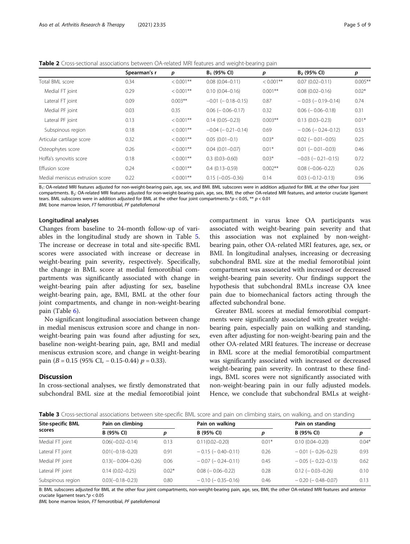<span id="page-4-0"></span>Table 2 Cross-sectional associations between OA-related MRI features and weight-bearing pain

|                                 | Spearman's r | р            | $B_1$ (95% CI)             | р            | $B2$ (95% CI)              | p         |
|---------------------------------|--------------|--------------|----------------------------|--------------|----------------------------|-----------|
| Total BML score                 | 0.34         | $< 0.001$ ** | $0.08(0.04 - 0.11)$        | $< 0.001$ ** | $0.07(0.02 - 0.11)$        | $0.005**$ |
| Medial FT joint                 | 0.29         | $< 0.001$ ** | $0.10(0.04 - 0.16)$        | $0.001**$    | $0.08(0.02 - 0.16)$        | $0.02*$   |
| Lateral FT joint                | 0.09         | $0.003***$   | $-0.01$ ( $-0.18-0.15$ )   | 0.87         | $-0.03$ ( $-0.19-0.14$ )   | 0.74      |
| Medial PF joint                 | 0.03         | 0.35         | $0.06$ ( $-0.06 - 0.17$ )  | 0.32         | $0.06$ ( $-0.06 - 0.18$ )  | 0.31      |
| Lateral PF joint                | 0.13         | $< 0.001$ ** | $0.14(0.05 - 0.23)$        | $0.003**$    | $0.13(0.03 - 0.23)$        | $0.01*$   |
| Subspinous region               | 0.18         | $< 0.001$ ** | $-0.04$ ( $-0.21 - 0.14$ ) | 0.69         | $-0.06$ ( $-0.24-0.12$ )   | 0.53      |
| Articular cartilage score       | 0.32         | $< 0.001$ ** | $0.05(0.01 - 0.1)$         | $0.03*$      | $0.02$ ( $-0.01 - 0.05$ )  | 0.25      |
| Osteophytes score               | 0.26         | $< 0.001$ ** | $0.04(0.01 - 0.07)$        | $0.01*$      | $0.01$ ( $-0.01$ $-0.03$ ) | 0.46      |
| Hoffa's synovitis score         | 0.18         | $< 0.001$ ** | $0.3(0.03 - 0.60)$         | $0.03*$      | $-0.03$ ( $-0.21 - 0.15$ ) | 0.72      |
| Effusion score                  | 0.24         | $< 0.001$ ** | $0.4(0.13 - 0.59)$         | $0.002**$    | $0.08$ $(-0.06 - 0.22)$    | 0.26      |
| Medial meniscus extrusion score | 0.22         | $< 0.001$ ** | $0.15 (-0.05 - 0.36)$      | 0.14         | $0.03$ $(-0.12 - 0.13)$    | 0.96      |

B<sub>1</sub>: OA-related MRI features adjusted for non-weight-bearing pain, age, sex, and BMI. BML subscores were in addition adjusted for BML at the other four joint compartments. B<sub>2</sub>: OA-related MRI features adjusted for non-weight-bearing pain, age, sex, BMI, the other OA-related MRI features, and anterior cruciate ligament tears. BML subscores were in addition adjusted for BML at the other four joint compartments.\*p < 0.05, \*\* p < 0.01 BML bone marrow lesion, FT femorotibial, PF patellofemoral

## Longitudinal analyses

Changes from baseline to 24-month follow-up of variables in the longitudinal study are shown in Table [5](#page-5-0). The increase or decrease in total and site-specific BML scores were associated with increase or decrease in weight-bearing pain severity, respectively. Specifically, the change in BML score at medial femorotibial compartments was significantly associated with change in weight-bearing pain after adjusting for sex, baseline weight-bearing pain, age, BMI, BML at the other four joint compartments, and change in non-weight-bearing pain (Table [6](#page-6-0)).

No significant longitudinal association between change in medial meniscus extrusion score and change in nonweight-bearing pain was found after adjusting for sex, baseline non-weight-bearing pain, age, BMI and medial meniscus extrusion score, and change in weight-bearing pain (B = 0.15 (95% CI, - 0.15-0.44)  $p = 0.33$ ).

#### **Discussion**

In cross-sectional analyses, we firstly demonstrated that subchondral BML size at the medial femorotibial joint compartment in varus knee OA participants was associated with weight-bearing pain severity and that this association was not explained by non-weightbearing pain, other OA-related MRI features, age, sex, or BMI. In longitudinal analyses, increasing or decreasing subchondral BML size at the medial femorotibial joint compartment was associated with increased or decreased weight-bearing pain severity. Our findings support the hypothesis that subchondral BMLs increase OA knee pain due to biomechanical factors acting through the affected subchondral bone.

Greater BML scores at medial femorotibial compartments were significantly associated with greater weightbearing pain, especially pain on walking and standing, even after adjusting for non-weight-bearing pain and the other OA-related MRI features. The increase or decrease in BML score at the medial femorotibial compartment was significantly associated with increased or decreased weight-bearing pain severity. In contrast to these findings, BML scores were not significantly associated with non-weight-bearing pain in our fully adjusted models. Hence, we conclude that subchondral BMLs at weight-

Table 3 Cross-sectional associations between site-specific BML score and pain on climbing stairs, on walking, and on standing

| <b>Site-specific BML</b> | Pain on climbing     |         | Pain on walking           |         | Pain on standing           |         |
|--------------------------|----------------------|---------|---------------------------|---------|----------------------------|---------|
| scores                   | B (95% CI)           | p       | B (95% CI)                | D       | B (95% CI)                 | р       |
| Medial FT joint          | $0.06(-0.02-0.14)$   | 0.13    | $0.11(0.02 - 0.20)$       | $0.01*$ | $0.10(0.04 - 0.20)$        | $0.04*$ |
| Lateral FT joint         | $0.01(-0.18 - 0.20)$ | 0.91    | $-0.15$ ( $-0.40$ -0.11)  | 0.26    | $-0.01$ ( $-0.26 - 0.23$ ) | 0.93    |
| Medial PF joint          | $0.13(-0.004-0.26)$  | 0.06    | $-0.07$ ( $-0.24-0.11$ )  | 0.45    | $-0.05$ ( $-0.22-0.13$ )   | 0.62    |
| Lateral PF joint         | $0.14(0.02 - 0.25)$  | $0.02*$ | $0.08$ ( $-0.06 - 0.22$ ) | 0.28    | $0.12$ (- 0.03-0.26)       | 0.10    |
| Subspinous region        | $0.03(-0.18-0.23)$   | 0.80    | $-0.10$ ( $-0.35-0.16$ )  | 0.46    | $-0.20$ ( $-0.48 - 0.07$ ) | 0.13    |

B: BML subscores adjusted for BML at the other four joint compartments, non-weight-bearing pain, age, sex, BMI, the other OA-related MRI features and anterior cruciate ligament tears.\*p < 0.05

BML bone marrow lesion, FT femorotibial, PF patellofemoral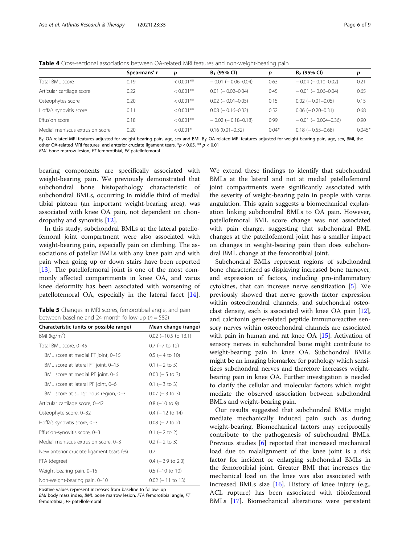<span id="page-5-0"></span>Table 4 Cross-sectional associations between OA-related MRI features and non-weight-bearing pain

|                                 | Spearmans' r | p            | $B_1$ (95% CI)             | p       | $B2$ (95% CI)               | р        |
|---------------------------------|--------------|--------------|----------------------------|---------|-----------------------------|----------|
| Total BML score                 | 0.19         | $< 0.001$ ** | $-0.01$ ( $-0.06 - 0.04$ ) | 0.63    | $-0.04$ ( $-0.10$ $-0.02$ ) | 0.21     |
| Articular cartilage score       | 0.22         | $< 0.001$ ** | $0.01$ ( $-0.02 - 0.04$ )  | 0.45    | $-0.01$ ( $-0.06 - 0.04$ )  | 0.65     |
| Osteophytes score               | 0.20         | $< 0.001$ ** | $0.02$ ( $-0.01 - 0.05$ )  | 0.15    | $0.02$ ( $-0.01 - 0.05$ )   | 0.15     |
| Hoffa's synovitis score         | 0.11         | $< 0.001$ ** | $0.08$ ( $-0.16 - 0.32$ )  | 0.52    | $0.06$ ( $-0.20 - 0.31$ )   | 0.68     |
| <b>Effusion score</b>           | 0.18         | $< 0.001$ ** | $-0.02$ ( $-0.18-0.18$ )   | 0.99    | $-0.01$ ( $-0.004 - 0.36$ ) | 0.90     |
| Medial meniscus extrusion score | 0.20         | $< 0.001*$   | $0.16(0.01 - 0.32)$        | $0.04*$ | $0.18$ ( $-0.55 - 0.68$ )   | $0.045*$ |
|                                 |              |              |                            |         |                             |          |

B<sub>1</sub>: OA-related MRI features adjusted for weight-bearing pain, age, sex and BMI. B<sub>2</sub>: OA-related MRI features adjusted for weight-bearing pain, age, sex, BMI, the other OA-related MRI features, and anterior cruciate ligament tears.  $*p < 0.05$ ,  $** p < 0.01$ 

BML bone marrow lesion, FT femorotibial, PF patellofemoral

bearing components are specifically associated with weight-bearing pain. We previously demonstrated that subchondral bone histopathology characteristic of subchondral BMLs, occurring in middle third of medial tibial plateau (an important weight-bearing area), was associated with knee OA pain, not dependent on chondropathy and synovitis [[12](#page-7-0)].

In this study, subchondral BMLs at the lateral patellofemoral joint compartment were also associated with weight-bearing pain, especially pain on climbing. The associations of patellar BMLs with any knee pain and with pain when going up or down stairs have been reported [[13\]](#page-7-0). The patellofemoral joint is one of the most commonly affected compartments in knee OA, and varus knee deformity has been associated with worsening of patellofemoral OA, especially in the lateral facet [\[14](#page-7-0)].

|  |  | <b>Table 5</b> Changes in MRI scores, femorotibial angle, and pain |  |  |
|--|--|--------------------------------------------------------------------|--|--|
|  |  | between baseline and 24-month follow-up ( $n = 582$ )              |  |  |

| Characteristic (units or possible range) | Mean change (range)     |
|------------------------------------------|-------------------------|
| BMI ( $kg/m2$ )                          | $0.02$ (-10.5 to 13.1)  |
| Total BML score, 0-45                    | $0.7$ ( $-7$ to 12)     |
| BML score at medial FT joint, 0-15       | $0.5$ ( $-4$ to 10)     |
| BML score at lateral FT joint, 0-15      | $0.1$ (- 2 to 5)        |
| BML score at medial PF joint, 0-6        | $0.03$ ( $-5$ to 3)     |
| BML score at lateral PF joint, 0-6       | $0.1$ (-3 to 3)         |
| BML score at subspinous region, 0-3      | $0.07$ ( $-3$ to 3)     |
| Articular cartilage score, 0-42          | $0.8$ ( $-10$ to 9)     |
| Osteophyte score, 0-32                   | $0.4$ ( $-12$ to 14)    |
| Hoffa's synovitis score, 0-3             | $0.08$ ( $-2$ to 2)     |
| Effusion-synovitis score, 0-3            | $0.1$ (- 2 to 2)        |
| Medial meniscus extrusion score, 0-3     | $0.2$ (- 2 to 3)        |
| New anterior cruciate ligament tears (%) | 0.7                     |
| FTA (degree)                             | $0.4$ (-3.9 to 2.0)     |
| Weight-bearing pain, 0-15                | $0.5$ ( $-10$ to $10$ ) |
| Non-weight-bearing pain, 0-10            | $0.02$ (-11 to 13)      |

Positive values represent increases from baseline to follow- up BMI body mass index, BML bone marrow lesion, FTA femorotibial angle, FT femorotibial, PF patellofemoral

We extend these findings to identify that subchondral BMLs at the lateral and not at medial patellofemoral joint compartments were significantly associated with the severity of weight-bearing pain in people with varus angulation. This again suggests a biomechanical explanation linking subchondral BMLs to OA pain. However, patellofemoral BML score change was not associated with pain change, suggesting that subchondral BML changes at the patellofemoral joint has a smaller impact on changes in weight-bearing pain than does subchondral BML change at the femorotibial joint.

Subchondral BMLs represent regions of subchondral bone characterized as displaying increased bone turnover, and expression of factors, including pro-inflammatory cytokines, that can increase nerve sensitization [[5](#page-7-0)]. We previously showed that nerve growth factor expression within osteochondral channels, and subchondral osteoclast density, each is associated with knee OA pain [[12](#page-7-0)], and calcitonin gene-related peptide immunoreactive sensory nerves within osteochondral channels are associated with pain in human and rat knee OA [\[15\]](#page-7-0). Activation of sensory nerves in subchondral bone might contribute to weight-bearing pain in knee OA. Subchondral BMLs might be an imaging biomarker for pathology which sensitizes subchondral nerves and therefore increases weightbearing pain in knee OA. Further investigation is needed to clarify the cellular and molecular factors which might mediate the observed association between subchondral BMLs and weight-bearing pain.

Our results suggested that subchondral BMLs might mediate mechanically induced pain such as during weight-bearing. Biomechanical factors may reciprocally contribute to the pathogenesis of subchondral BMLs. Previous studies [\[6\]](#page-7-0) reported that increased mechanical load due to malalignment of the knee joint is a risk factor for incident or enlarging subchondral BMLs in the femorotibial joint. Greater BMI that increases the mechanical load on the knee was also associated with increased BMLs size [[16](#page-8-0)]. History of knee injury (e.g., ACL rupture) has been associated with tibiofemoral BMLs [\[17\]](#page-8-0). Biomechanical alterations were persistent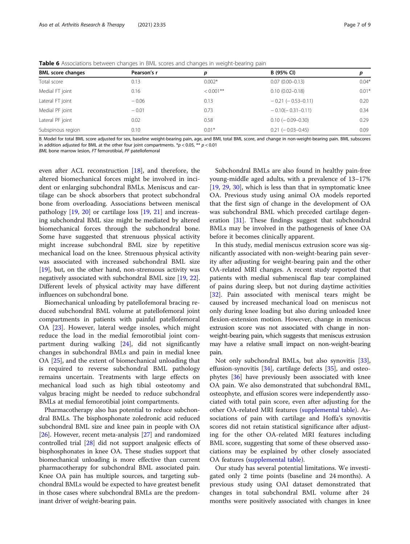|                          |             | $\tilde{}$   | ັ                         |         |
|--------------------------|-------------|--------------|---------------------------|---------|
| <b>BML</b> score changes | Pearson's r | p            | B (95% CI)                |         |
| Total score              | 0.13        | $0.002*$     | $0.07(0.00 - 0.13)$       | $0.04*$ |
| Medial FT joint          | 0.16        | $< 0.001$ ** | $0.10(0.02 - 0.18)$       | $0.01*$ |
| Lateral FT joint         | $-0.06$     | 0.13         | $-0.21$ ( $-0.53-0.11$ )  | 0.20    |
| Medial PF joint          | $-0.01$     | 0.73         | $-0.10(-0.31-0.11)$       | 0.34    |
| Lateral PF joint         | 0.02        | 0.58         | $0.10 (-0.09 - 0.30)$     | 0.29    |
| Subspinous region        | 0.10        | $0.01*$      | $0.21$ ( $-0.03 - 0.45$ ) | 0.09    |
|                          |             |              |                           |         |

<span id="page-6-0"></span>**Table 6** Associations between changes in BML scores and changes in weight-bearing pain

B: Model for total BML score adjusted for sex, baseline weight-bearing pain, age, and BMI, total BML score, and change in non-weight-bearing pain. BML subscores in addition adjusted for BML at the other four joint compartments.  $*p < 0.05$ ,  $** p < 0.01$ 

BML bone marrow lesion, FT femorotibial, PF patellofemoral

even after ACL reconstruction [\[18](#page-8-0)], and therefore, the altered biomechanical forces might be involved in incident or enlarging subchondral BMLs. Meniscus and cartilage can be shock absorbers that protect subchondral bone from overloading. Associations between meniscal pathology [\[19](#page-8-0), [20\]](#page-8-0) or cartilage loss [[19](#page-8-0), [21](#page-8-0)] and increasing subchondral BML size might be mediated by altered biomechanical forces through the subchondral bone. Some have suggested that strenuous physical activity might increase subchondral BML size by repetitive mechanical load on the knee. Strenuous physical activity was associated with increased subchondral BML size [[19\]](#page-8-0), but, on the other hand, non-strenuous activity was negatively associated with subchondral BML size [[19](#page-8-0), [22](#page-8-0)]. Different levels of physical activity may have different influences on subchondral bone.

Biomechanical unloading by patellofemoral bracing reduced subchondral BML volume at patellofemoral joint compartments in patients with painful patellofemoral OA [\[23](#page-8-0)]. However, lateral wedge insoles, which might reduce the load in the medial femorotibial joint compartment during walking [[24\]](#page-8-0), did not significantly changes in subchondral BMLs and pain in medial knee OA [\[25](#page-8-0)], and the extent of biomechanical unloading that is required to reverse subchondral BML pathology remains uncertain. Treatments with large effects on mechanical load such as high tibial osteotomy and valgus bracing might be needed to reduce subchondral BMLs at medial femorotibial joint compartments.

Pharmacotherapy also has potential to reduce subchondral BMLs. The bisphosphonate zoledronic acid reduced subchondral BML size and knee pain in people with OA [[26](#page-8-0)]. However, recent meta-analysis [\[27](#page-8-0)] and randomized controlled trial [\[28\]](#page-8-0) did not support analgesic effects of bisphosphonates in knee OA. These studies support that biomechanical unloading is more effective than current pharmacotherapy for subchondral BML associated pain. Knee OA pain has multiple sources, and targeting subchondral BMLs would be expected to have greatest benefit in those cases where subchondral BMLs are the predominant driver of weight-bearing pain.

Subchondral BMLs are also found in healthy pain-free young-middle aged adults, with a prevalence of 13–17% [[19,](#page-8-0) [29,](#page-8-0) [30](#page-8-0)], which is less than that in symptomatic knee OA. Previous study using animal OA models reported that the first sign of change in the development of OA was subchondral BML which preceded cartilage degeneration [\[31](#page-8-0)]. These findings suggest that subchondral BMLs may be involved in the pathogenesis of knee OA before it becomes clinically apparent.

In this study, medial meniscus extrusion score was significantly associated with non-weight-bearing pain severity after adjusting for weight-bearing pain and the other OA-related MRI changes. A recent study reported that patients with medial submeniscal flap tear complained of pains during sleep, but not during daytime activities [[32\]](#page-8-0). Pain associated with meniscal tears might be caused by increased mechanical load on meniscus not only during knee loading but also during unloaded knee flexion-extension motion. However, change in meniscus extrusion score was not associated with change in nonweight-bearing pain, which suggests that meniscus extrusion may have a relative small impact on non-weight-bearing pain.

Not only subchondral BMLs, but also synovitis [\[33](#page-8-0)], effusion-synovitis [[34\]](#page-8-0), cartilage defects [\[35](#page-8-0)], and osteophytes [\[36\]](#page-8-0) have previously been associated with knee OA pain. We also demonstrated that subchondral BML, osteophyte, and effusion scores were independently associated with total pain score, even after adjusting for the other OA-related MRI features [\(supplemental table\)](#page-7-0). Associations of pain with cartilage and Hoffa's synovitis scores did not retain statistical significance after adjusting for the other OA-related MRI features including BML score, suggesting that some of these observed associations may be explained by other closely associated OA features [\(supplemental table\)](#page-7-0).

Our study has several potential limitations. We investigated only 2 time points (baseline and 24 months). A previous study using OAI dataset demonstrated that changes in total subchondral BML volume after 24 months were positively associated with changes in knee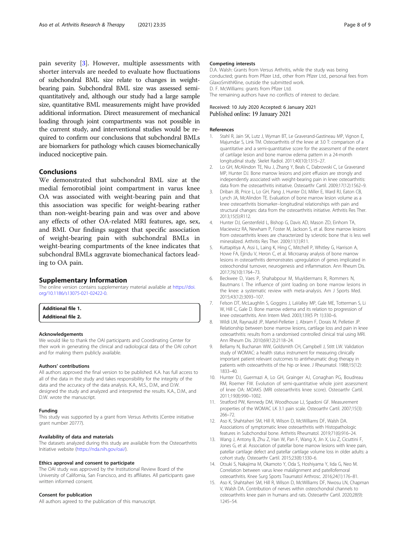<span id="page-7-0"></span>pain severity [3]. However, multiple assessments with shorter intervals are needed to evaluate how fluctuations of subchondral BML size relate to changes in weightbearing pain. Subchondral BML size was assessed semiquantitatively and, although our study had a large sample size, quantitative BML measurements might have provided additional information. Direct measurement of mechanical loading through joint compartments was not possible in the current study, and interventional studies would be required to confirm our conclusions that subchondral BMLs are biomarkers for pathology which causes biomechanically induced nociceptive pain.

# Conclusions

We demonstrated that subchondral BML size at the medial femorotibial joint compartment in varus knee OA was associated with weight-bearing pain and that this association was specific for weight-bearing rather than non-weight-bearing pain and was over and above any effects of other OA-related MRI features, age, sex, and BMI. Our findings suggest that specific association of weight-bearing pain with subchondral BMLs in weight-bearing compartments of the knee indicates that subchondral BMLs aggravate biomechanical factors leading to OA pain.

#### Supplementary Information

The online version contains supplementary material available at [https://doi.](https://doi.org/10.1186/s13075-021-02422-0) [org/10.1186/s13075-021-02422-0.](https://doi.org/10.1186/s13075-021-02422-0)

Additional file 1.

Additional file 2.

#### Acknowledgements

We would like to thank the OAI participants and Coordinating Center for their work in generating the clinical and radiological data of the OAI cohort and for making them publicly available.

# Authors' contributions

All authors approved the final version to be published. K.A. has full access to all of the data in the study and takes responsibility for the integrity of the data and the accuracy of the data analysis. K.A., M.S., D.M., and D.W. designed the study and analyzed and interpreted the results. K.A., D.M., and D.W. wrote the manuscript.

#### Funding

This study was supported by a grant from Versus Arthritis (Centre initiative grant number 20777).

#### Availability of data and materials

The datasets analyzed during this study are available from the Osteoarthritis Initiative website [\(https://nda.nih.gov/oai/](https://nda.nih.gov/oai/)).

#### Ethics approval and consent to participate

The OAI study was approved by the Institutional Review Board of the University of California, San Francisco, and its affiliates. All participants gave written informed consent.

## Consent for publication

All authors agreed to the publication of this manuscript.

#### Competing interests

D.A. Walsh: Grants from Versus Arthritis, while the study was being conducted; grants from Pfizer Ltd., other from Pfizer Ltd., personal fees from GlaxoSmithKline, outside the submitted work. D. F. McWilliams: grants from Pfizer Ltd. The remaining authors have no conflicts of interest to declare.

Received: 10 July 2020 Accepted: 6 January 2021 Published online: 19 January 2021

#### References

- 1. Stahl R, Jain SK, Lutz J, Wyman BT, Le Graverand-Gastineau MP, Vignon E, Majumdar S, Link TM. Osteoarthritis of the knee at 3.0 T: comparison of a quantitative and a semi-quantitative score for the assessment of the extent of cartilage lesion and bone marrow edema pattern in a 24-month longitudinal study. Skelet Radiol. 2011;40(10):1315–27.
- 2. Lo GH, McAlindon TE, Niu J, Zhang Y, Beals C, Dabrowski C, Le Graverand MP, Hunter DJ. Bone marrow lesions and joint effusion are strongly and independently associated with weight-bearing pain in knee osteoarthritis: data from the osteoarthritis initiative. Osteoarthr Cartil. 2009;17(12):1562–9.
- 3. Driban JB, Price L, Lo GH, Pang J, Hunter DJ, Miller E, Ward RJ, Eaton CB, Lynch JA, McAlindon TE. Evaluation of bone marrow lesion volume as a knee osteoarthritis biomarker--longitudinal relationships with pain and structural changes: data from the osteoarthritis initiative. Arthritis Res Ther. 2013;15(5):R112.
- 4. Hunter DJ, Gerstenfeld L, Bishop G, Davis AD, Mason ZD, Einhorn TA, Maciewicz RA, Newham P, Foster M, Jackson S, et al. Bone marrow lesions from osteoarthritis knees are characterized by sclerotic bone that is less well mineralized. Arthritis Res Ther. 2009;11(1):R11.
- 5. Kuttapitiya A, Assi L, Laing K, Hing C, Mitchell P, Whitley G, Harrison A, Howe FA, Ejindu V, Heron C, et al. Microarray analysis of bone marrow lesions in osteoarthritis demonstrates upregulation of genes implicated in osteochondral turnover, neurogenesis and inflammation. Ann Rheum Dis. 2017;76(10):1764–73.
- 6. Beckwee D, Vaes P, Shahabpour M, Muyldermans R, Rommers N, Bautmans I. The influence of joint loading on bone marrow lesions in the knee: a systematic review with meta-analysis. Am J Sports Med. 2015;43(12):3093–107.
- 7. Felson DT, McLaughlin S, Goggins J, LaValley MP, Gale ME, Totterman S, Li W, Hill C, Gale D. Bone marrow edema and its relation to progression of knee osteoarthritis. Ann Intern Med. 2003;139(5 Pt 1):330–6.
- 8. Wildi LM, Raynauld JP, Martel-Pelletier J, Abram F, Dorais M, Pelletier JP. Relationship between bone marrow lesions, cartilage loss and pain in knee osteoarthritis: results from a randomised controlled clinical trial using MRI. Ann Rheum Dis. 2010;69(12):2118–24.
- 9. Bellamy N, Buchanan WW, Goldsmith CH, Campbell J, Stitt LW. Validation study of WOMAC: a health status instrument for measuring clinically important patient relevant outcomes to antirheumatic drug therapy in patients with osteoarthritis of the hip or knee. J Rheumatol. 1988;15(12): 1833–40.
- 10. Hunter DJ, Guermazi A, Lo GH, Grainger AJ, Conaghan PG, Boudreau RM, Roemer FW. Evolution of semi-quantitative whole joint assessment of knee OA: MOAKS (MRI osteoarthritis knee score). Osteoarthr Cartil. 2011;19(8):990–1002.
- 11. Stratford PW, Kennedy DM, Woodhouse LJ, Spadoni GF. Measurement properties of the WOMAC LK 3.1 pain scale. Osteoarthr Cartil. 2007;15(3): 266–72.
- 12. Aso K, Shahtaheri SM, Hill R, Wilson D, McWilliams DF, Walsh DA. Associations of symptomatic knee osteoarthritis with Histopathologic features in Subchondral bone. Arthritis Rheumatol. 2019;71(6):916–24.
- 13. Wang J, Antony B, Zhu Z, Han W, Pan F, Wang X, Jin X, Liu Z, Cicuttini F, Jones G, et al. Association of patellar bone marrow lesions with knee pain, patellar cartilage defect and patellar cartilage volume loss in older adults: a cohort study. Osteoarthr Cartil. 2015;23(8):1330–6.
- 14. Otsuki S, Nakajima M, Okamoto Y, Oda S, Hoshiyama Y, Iida G, Neo M. Correlation between varus knee malalignment and patellofemoral osteoarthritis. Knee Surg Sports Traumatol Arthrosc. 2016;24(1):176–81.
- 15. Aso K, Shahtaheri SM, Hill R, Wilson D, McWilliams DF, Nwosu LN, Chapman V, Walsh DA. Contribution of nerves within osteochondral channels to osteoarthritis knee pain in humans and rats. Osteoarthr Cartil. 2020;28(9): 1245–54.